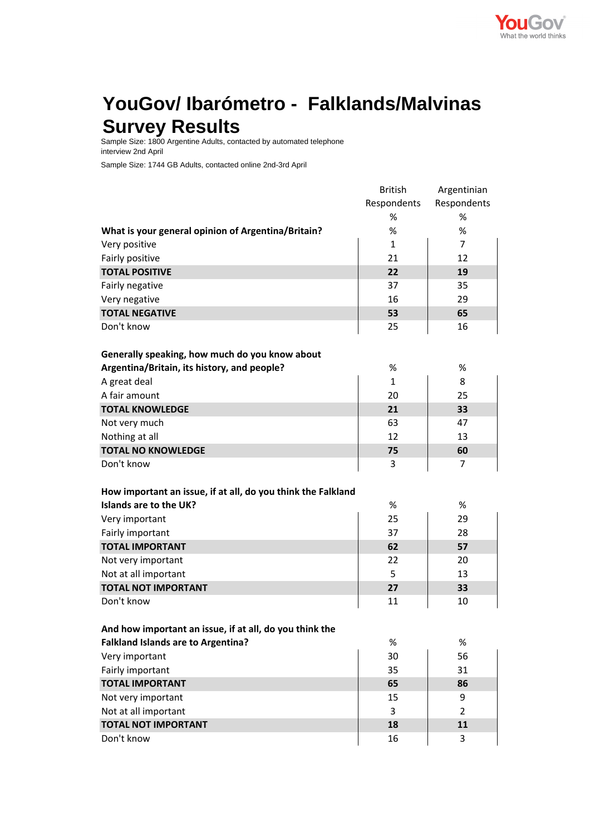

## **YouGov/ Ibarómetro - Falklands/Malvinas Survey Results**

Sample Size: 1800 Argentine Adults, contacted by automated telephone interview 2nd April

Sample Size: 1744 GB Adults, contacted online 2nd-3rd April

|                                                              | <b>British</b> | Argentinian    |
|--------------------------------------------------------------|----------------|----------------|
|                                                              | Respondents    | Respondents    |
|                                                              | %              | %              |
| What is your general opinion of Argentina/Britain?           | %              | %              |
| Very positive                                                | $\mathbf{1}$   | $\overline{7}$ |
| Fairly positive                                              | 21             | 12             |
| <b>TOTAL POSITIVE</b>                                        | 22             | 19             |
| Fairly negative                                              | 37             | 35             |
| Very negative                                                | 16             | 29             |
| <b>TOTAL NEGATIVE</b>                                        | 53             | 65             |
| Don't know                                                   | 25             | 16             |
|                                                              |                |                |
| Generally speaking, how much do you know about               |                |                |
| Argentina/Britain, its history, and people?                  | %              | %              |
| A great deal                                                 | 1              | 8              |
| A fair amount                                                | 20             | 25             |
| <b>TOTAL KNOWLEDGE</b>                                       | 21             | 33             |
| Not very much                                                | 63             | 47             |
| Nothing at all                                               | 12             | 13             |
| <b>TOTAL NO KNOWLEDGE</b>                                    | 75             | 60             |
| Don't know                                                   | 3              | 7              |
| How important an issue, if at all, do you think the Falkland |                |                |
| Islands are to the UK?                                       | %              | %              |
| Very important                                               | 25             | 29             |
| Fairly important                                             | 37             | 28             |
| <b>TOTAL IMPORTANT</b>                                       | 62             | 57             |
| Not very important                                           | 22             | 20             |
| Not at all important                                         | 5              | 13             |
| <b>TOTAL NOT IMPORTANT</b>                                   | 27             | 33             |
| Don't know                                                   | 11             | 10             |
|                                                              |                |                |
| And how important an issue, if at all, do you think the      |                |                |
| <b>Falkland Islands are to Argentina?</b>                    | $\%$           | $\%$           |
| Very important                                               | 30             | 56             |
| Fairly important                                             | 35             | 31             |
| <b>TOTAL IMPORTANT</b>                                       | 65             | 86             |
| Not very important                                           | 15             | 9              |
| Not at all important                                         | 3              | 2              |
| <b>TOTAL NOT IMPORTANT</b>                                   | 18             | 11             |
| Don't know                                                   | 16             | 3              |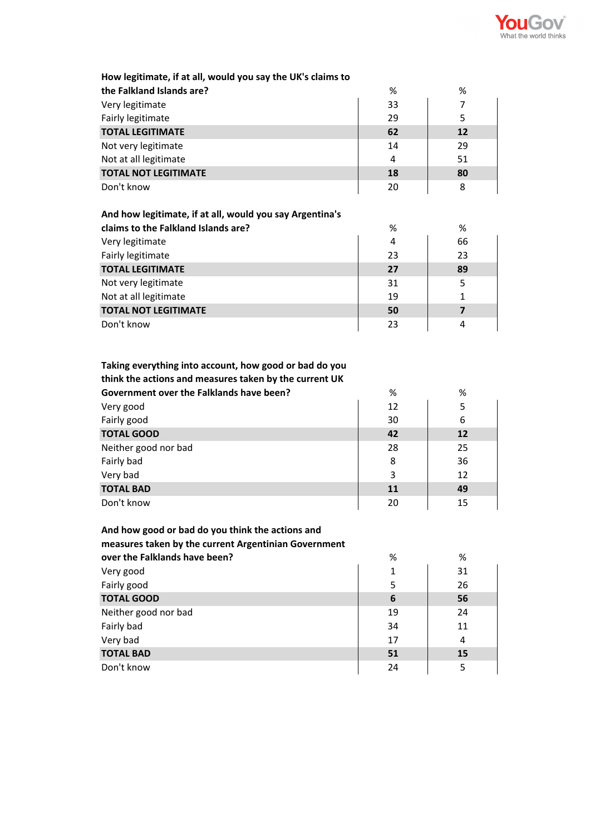

| How legitimate, if at all, would you say the UK's claims to |    |    |
|-------------------------------------------------------------|----|----|
|                                                             |    |    |
| the Falkland Islands are?                                   | %  | %  |
| Very legitimate                                             | 33 | 7  |
| Fairly legitimate                                           | 29 | 5  |
| <b>TOTAL LEGITIMATE</b>                                     | 62 | 12 |
| Not very legitimate                                         | 14 | 29 |
| Not at all legitimate                                       | 4  | 51 |
| <b>TOTAL NOT LEGITIMATE</b>                                 | 18 | 80 |
| Don't know                                                  | 20 | 8  |
|                                                             |    |    |
| And how legitimate, if at all, would you say Argentina's    |    |    |
| claims to the Falkland Islands are?                         | %  | %  |
| Very legitimate                                             | 4  | 66 |
| Fairly legitimate                                           | 23 | 23 |
| <b>TOTAL LEGITIMATE</b>                                     | 27 | 89 |
| Not very legitimate                                         | 31 | 5  |
| Not at all legitimate                                       | 19 | 1  |
| <b>TOTAL NOT LEGITIMATE</b>                                 | 50 | 7  |

## **Taking everything into account, how good or bad do you**

**TOTAL NOT LEGITIMATE 50 7**

Don't know 23 4

**think the actions and measures taken by the current UK**

| Government over the Falklands have been? | %  | %  |
|------------------------------------------|----|----|
| Very good                                | 12 | 5  |
| Fairly good                              | 30 | 6  |
| <b>TOTAL GOOD</b>                        | 42 | 12 |
| Neither good nor bad                     | 28 | 25 |
| Fairly bad                               | 8  | 36 |
| Very bad                                 | 3  | 12 |
| <b>TOTAL BAD</b>                         | 11 | 49 |
| Don't know                               | 20 | 15 |

## **And how good or bad do you think the actions and**

## **measures taken by the current Argentinian Government**

| over the Falklands have been? | %  | %  |
|-------------------------------|----|----|
| Very good                     | 1  | 31 |
| Fairly good                   | 5  | 26 |
| <b>TOTAL GOOD</b>             | 6  | 56 |
| Neither good nor bad          | 19 | 24 |
| Fairly bad                    | 34 | 11 |
| Very bad                      | 17 | 4  |
| <b>TOTAL BAD</b>              | 51 | 15 |
| Don't know                    | 24 |    |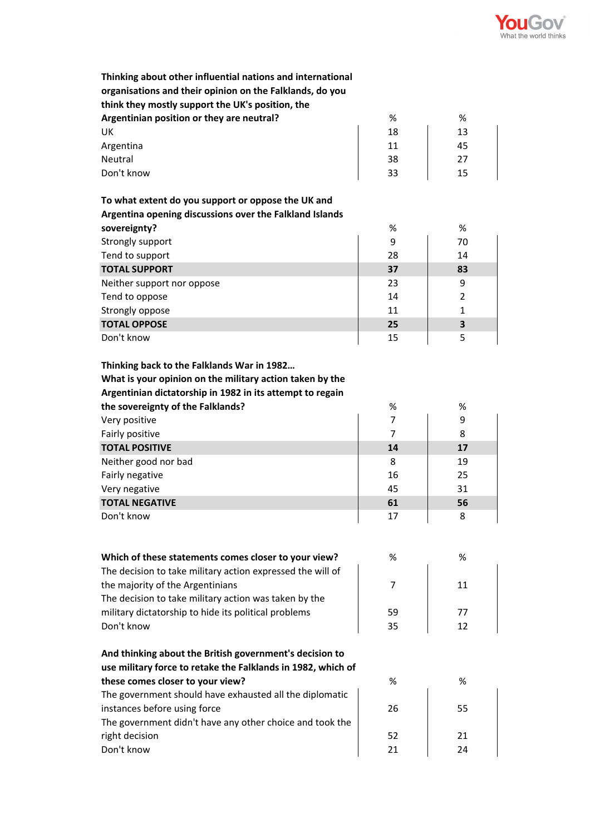

| Thinking about other influential nations and international<br>organisations and their opinion on the Falklands, do you<br>think they mostly support the UK's position, the |                |                |
|----------------------------------------------------------------------------------------------------------------------------------------------------------------------------|----------------|----------------|
| Argentinian position or they are neutral?                                                                                                                                  | %              | %              |
| UK                                                                                                                                                                         | 18             | 13             |
| Argentina                                                                                                                                                                  | 11             | 45             |
| Neutral                                                                                                                                                                    | 38             | 27             |
| Don't know                                                                                                                                                                 | 33             | 15             |
|                                                                                                                                                                            |                |                |
| To what extent do you support or oppose the UK and                                                                                                                         |                |                |
| Argentina opening discussions over the Falkland Islands                                                                                                                    |                |                |
| sovereignty?                                                                                                                                                               | %              | %              |
| Strongly support                                                                                                                                                           | 9              | 70             |
| Tend to support                                                                                                                                                            | 28             | 14             |
| <b>TOTAL SUPPORT</b>                                                                                                                                                       | 37             | 83             |
| Neither support nor oppose                                                                                                                                                 | 23             | 9              |
| Tend to oppose                                                                                                                                                             | 14             | $\overline{2}$ |
| Strongly oppose                                                                                                                                                            | 11             | $\mathbf{1}$   |
| <b>TOTAL OPPOSE</b>                                                                                                                                                        | 25             | 3              |
| Don't know                                                                                                                                                                 | 15             | 5              |
| Thinking back to the Falklands War in 1982                                                                                                                                 |                |                |
| What is your opinion on the military action taken by the                                                                                                                   |                |                |
| Argentinian dictatorship in 1982 in its attempt to regain                                                                                                                  |                |                |
| the sovereignty of the Falklands?                                                                                                                                          | %              | %              |
| Very positive                                                                                                                                                              | $\overline{7}$ | 9              |
| Fairly positive                                                                                                                                                            | $\overline{7}$ | 8              |
| <b>TOTAL POSITIVE</b>                                                                                                                                                      | 14             | 17             |
| Neither good nor bad                                                                                                                                                       | 8              | 19             |
| Fairly negative                                                                                                                                                            | 16             | 25             |
| Very negative                                                                                                                                                              | 45             | 31             |
| <b>TOTAL NEGATIVE</b>                                                                                                                                                      | 61             | 56             |
| Don't know                                                                                                                                                                 | 17             | 8              |
|                                                                                                                                                                            |                |                |
| Which of these statements comes closer to your view?                                                                                                                       | %              | %              |
| The decision to take military action expressed the will of                                                                                                                 |                |                |
| the majority of the Argentinians                                                                                                                                           | 7              | 11             |
| The decision to take military action was taken by the                                                                                                                      |                |                |
|                                                                                                                                                                            |                |                |
| military dictatorship to hide its political problems                                                                                                                       | 59             | 77             |
| Don't know                                                                                                                                                                 | 35             | 12             |
| And thinking about the British government's decision to                                                                                                                    |                |                |
| use military force to retake the Falklands in 1982, which of                                                                                                               |                |                |
| these comes closer to your view?                                                                                                                                           | %              | %              |
| The government should have exhausted all the diplomatic                                                                                                                    |                |                |
| instances before using force                                                                                                                                               | 26             | 55             |
| The government didn't have any other choice and took the                                                                                                                   |                |                |
| right decision                                                                                                                                                             | 52             | 21             |
| Don't know                                                                                                                                                                 | 21             | 24             |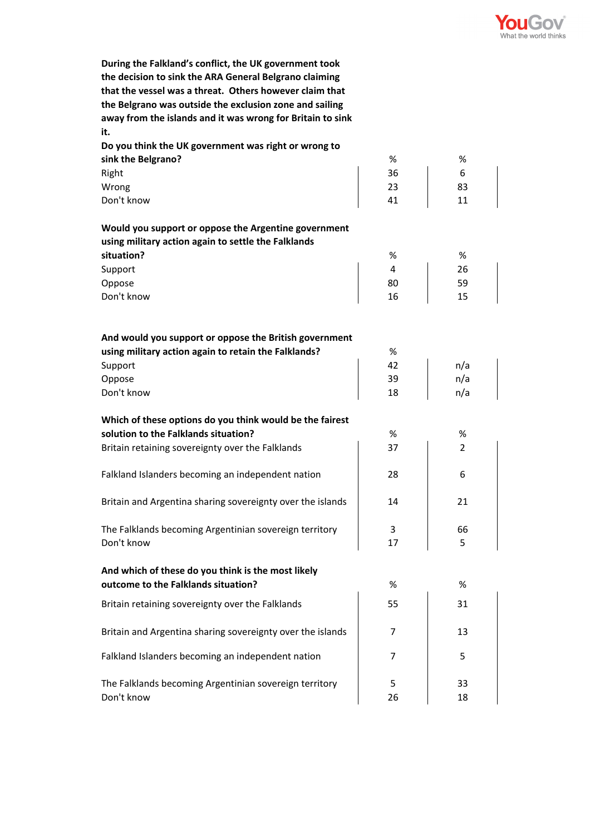

**During the Falkland's conflict, the UK government took the decision to sink the ARA General Belgrano claiming that the vessel was a threat. Others however claim that the Belgrano was outside the exclusion zone and sailing away from the islands and it was wrong for Britain to sink it.**

| sink the Belgrano?<br>%<br>%<br>Right<br>36<br>6<br>23<br>Wrong<br>83<br>Don't know<br>41<br>11<br>Would you support or oppose the Argentine government<br>using military action again to settle the Falklands<br>situation?<br>%<br>%<br>26<br>Support<br>4<br>80<br>59<br>Oppose<br>Don't know<br>15<br>16<br>And would you support or oppose the British government<br>using military action again to retain the Falklands?<br>%<br>42<br>Support<br>n/a<br>39<br>n/a<br>Oppose<br>Don't know<br>n/a<br>18<br>Which of these options do you think would be the fairest<br>solution to the Falklands situation?<br>%<br>%<br>Britain retaining sovereignty over the Falklands<br>$\overline{2}$<br>37<br>Falkland Islanders becoming an independent nation<br>28<br>6<br>Britain and Argentina sharing sovereignty over the islands<br>21<br>14<br>The Falklands becoming Argentinian sovereign territory<br>3<br>66<br>Don't know<br>5<br>17<br>And which of these do you think is the most likely<br>outcome to the Falklands situation?<br>%<br>%<br>Britain retaining sovereignty over the Falklands<br>55<br>31<br>Britain and Argentina sharing sovereignty over the islands<br>13<br>7 | Do you think the UK government was right or wrong to |  |
|-------------------------------------------------------------------------------------------------------------------------------------------------------------------------------------------------------------------------------------------------------------------------------------------------------------------------------------------------------------------------------------------------------------------------------------------------------------------------------------------------------------------------------------------------------------------------------------------------------------------------------------------------------------------------------------------------------------------------------------------------------------------------------------------------------------------------------------------------------------------------------------------------------------------------------------------------------------------------------------------------------------------------------------------------------------------------------------------------------------------------------------------------------------------------------------------------|------------------------------------------------------|--|
|                                                                                                                                                                                                                                                                                                                                                                                                                                                                                                                                                                                                                                                                                                                                                                                                                                                                                                                                                                                                                                                                                                                                                                                                 |                                                      |  |
|                                                                                                                                                                                                                                                                                                                                                                                                                                                                                                                                                                                                                                                                                                                                                                                                                                                                                                                                                                                                                                                                                                                                                                                                 |                                                      |  |
|                                                                                                                                                                                                                                                                                                                                                                                                                                                                                                                                                                                                                                                                                                                                                                                                                                                                                                                                                                                                                                                                                                                                                                                                 |                                                      |  |
|                                                                                                                                                                                                                                                                                                                                                                                                                                                                                                                                                                                                                                                                                                                                                                                                                                                                                                                                                                                                                                                                                                                                                                                                 |                                                      |  |
|                                                                                                                                                                                                                                                                                                                                                                                                                                                                                                                                                                                                                                                                                                                                                                                                                                                                                                                                                                                                                                                                                                                                                                                                 |                                                      |  |
|                                                                                                                                                                                                                                                                                                                                                                                                                                                                                                                                                                                                                                                                                                                                                                                                                                                                                                                                                                                                                                                                                                                                                                                                 |                                                      |  |
|                                                                                                                                                                                                                                                                                                                                                                                                                                                                                                                                                                                                                                                                                                                                                                                                                                                                                                                                                                                                                                                                                                                                                                                                 |                                                      |  |
|                                                                                                                                                                                                                                                                                                                                                                                                                                                                                                                                                                                                                                                                                                                                                                                                                                                                                                                                                                                                                                                                                                                                                                                                 |                                                      |  |
|                                                                                                                                                                                                                                                                                                                                                                                                                                                                                                                                                                                                                                                                                                                                                                                                                                                                                                                                                                                                                                                                                                                                                                                                 |                                                      |  |
|                                                                                                                                                                                                                                                                                                                                                                                                                                                                                                                                                                                                                                                                                                                                                                                                                                                                                                                                                                                                                                                                                                                                                                                                 |                                                      |  |
|                                                                                                                                                                                                                                                                                                                                                                                                                                                                                                                                                                                                                                                                                                                                                                                                                                                                                                                                                                                                                                                                                                                                                                                                 |                                                      |  |
|                                                                                                                                                                                                                                                                                                                                                                                                                                                                                                                                                                                                                                                                                                                                                                                                                                                                                                                                                                                                                                                                                                                                                                                                 |                                                      |  |
|                                                                                                                                                                                                                                                                                                                                                                                                                                                                                                                                                                                                                                                                                                                                                                                                                                                                                                                                                                                                                                                                                                                                                                                                 |                                                      |  |
|                                                                                                                                                                                                                                                                                                                                                                                                                                                                                                                                                                                                                                                                                                                                                                                                                                                                                                                                                                                                                                                                                                                                                                                                 |                                                      |  |
|                                                                                                                                                                                                                                                                                                                                                                                                                                                                                                                                                                                                                                                                                                                                                                                                                                                                                                                                                                                                                                                                                                                                                                                                 |                                                      |  |
|                                                                                                                                                                                                                                                                                                                                                                                                                                                                                                                                                                                                                                                                                                                                                                                                                                                                                                                                                                                                                                                                                                                                                                                                 |                                                      |  |
|                                                                                                                                                                                                                                                                                                                                                                                                                                                                                                                                                                                                                                                                                                                                                                                                                                                                                                                                                                                                                                                                                                                                                                                                 |                                                      |  |
|                                                                                                                                                                                                                                                                                                                                                                                                                                                                                                                                                                                                                                                                                                                                                                                                                                                                                                                                                                                                                                                                                                                                                                                                 |                                                      |  |
|                                                                                                                                                                                                                                                                                                                                                                                                                                                                                                                                                                                                                                                                                                                                                                                                                                                                                                                                                                                                                                                                                                                                                                                                 |                                                      |  |
|                                                                                                                                                                                                                                                                                                                                                                                                                                                                                                                                                                                                                                                                                                                                                                                                                                                                                                                                                                                                                                                                                                                                                                                                 |                                                      |  |
|                                                                                                                                                                                                                                                                                                                                                                                                                                                                                                                                                                                                                                                                                                                                                                                                                                                                                                                                                                                                                                                                                                                                                                                                 |                                                      |  |
|                                                                                                                                                                                                                                                                                                                                                                                                                                                                                                                                                                                                                                                                                                                                                                                                                                                                                                                                                                                                                                                                                                                                                                                                 |                                                      |  |
|                                                                                                                                                                                                                                                                                                                                                                                                                                                                                                                                                                                                                                                                                                                                                                                                                                                                                                                                                                                                                                                                                                                                                                                                 |                                                      |  |
|                                                                                                                                                                                                                                                                                                                                                                                                                                                                                                                                                                                                                                                                                                                                                                                                                                                                                                                                                                                                                                                                                                                                                                                                 |                                                      |  |
|                                                                                                                                                                                                                                                                                                                                                                                                                                                                                                                                                                                                                                                                                                                                                                                                                                                                                                                                                                                                                                                                                                                                                                                                 |                                                      |  |
|                                                                                                                                                                                                                                                                                                                                                                                                                                                                                                                                                                                                                                                                                                                                                                                                                                                                                                                                                                                                                                                                                                                                                                                                 |                                                      |  |
|                                                                                                                                                                                                                                                                                                                                                                                                                                                                                                                                                                                                                                                                                                                                                                                                                                                                                                                                                                                                                                                                                                                                                                                                 |                                                      |  |
|                                                                                                                                                                                                                                                                                                                                                                                                                                                                                                                                                                                                                                                                                                                                                                                                                                                                                                                                                                                                                                                                                                                                                                                                 |                                                      |  |
|                                                                                                                                                                                                                                                                                                                                                                                                                                                                                                                                                                                                                                                                                                                                                                                                                                                                                                                                                                                                                                                                                                                                                                                                 |                                                      |  |
| Falkland Islanders becoming an independent nation<br>5<br>7                                                                                                                                                                                                                                                                                                                                                                                                                                                                                                                                                                                                                                                                                                                                                                                                                                                                                                                                                                                                                                                                                                                                     |                                                      |  |
| The Falklands becoming Argentinian sovereign territory<br>5<br>33                                                                                                                                                                                                                                                                                                                                                                                                                                                                                                                                                                                                                                                                                                                                                                                                                                                                                                                                                                                                                                                                                                                               |                                                      |  |
| Don't know<br>26<br>18                                                                                                                                                                                                                                                                                                                                                                                                                                                                                                                                                                                                                                                                                                                                                                                                                                                                                                                                                                                                                                                                                                                                                                          |                                                      |  |